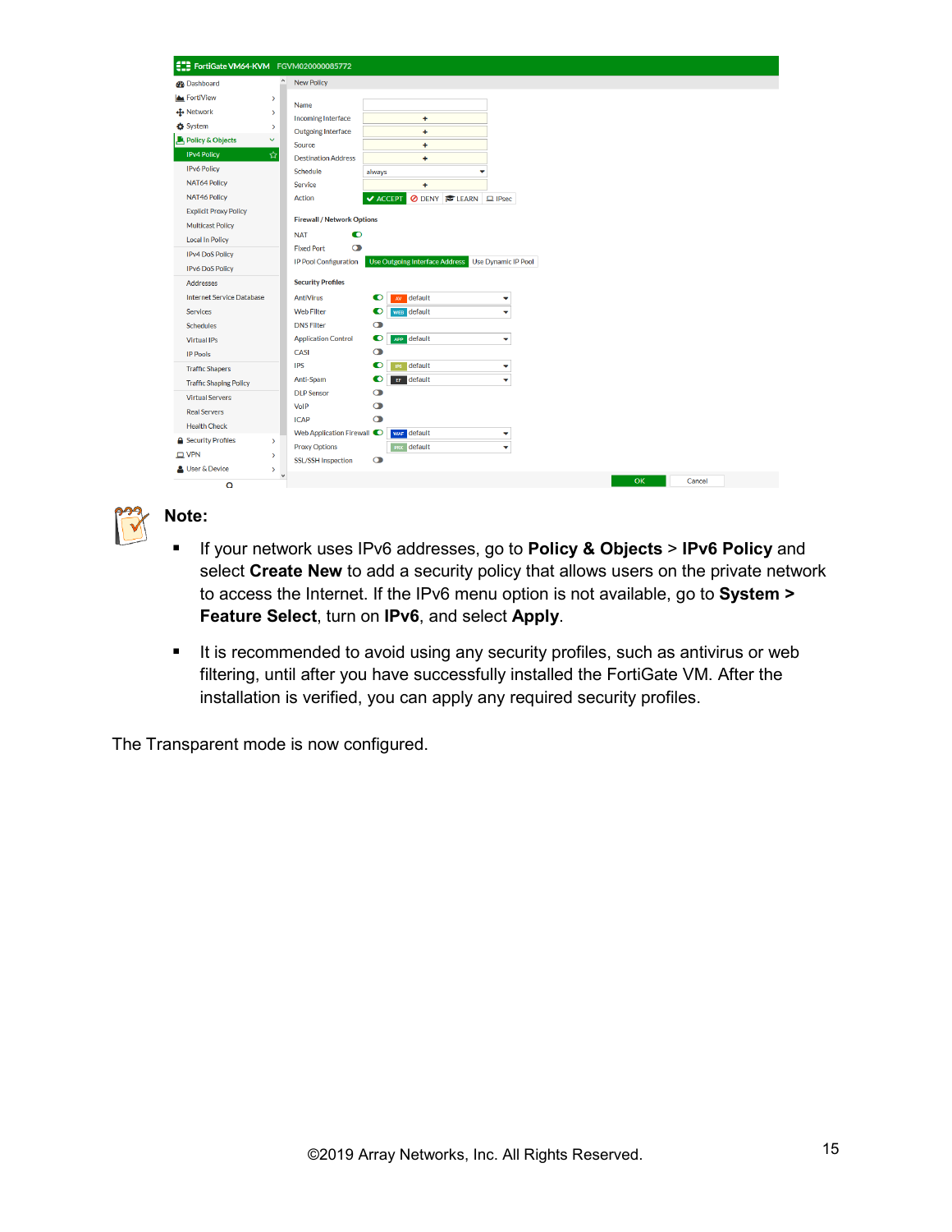Note:

- f If your network uses IPv6 addresses, go to Policy & Objects > IPv6 Policy and select Create New to add a security policy that allows users on the private network to access the Internet. If the IPv6 menu option is not available, go to System > Feature Select , turn on IPv6, and select Apply .
- $f$  It is recommended to avoid using any security profiles, such as antivirus or web filtering, until after you have successfully installed the FortiGate VM. After the installation is verified, you can apply any required security profiles.

The Transparent mode is now configured.